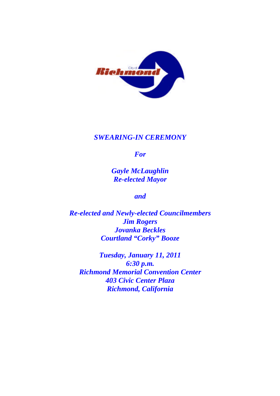

### *SWEARING-IN CEREMONY*

*For*

*Gayle McLaughlin Re-elected Mayor*

*and*

*Re-elected and Newly-elected Councilmembers Jim Rogers Jovanka Beckles Courtland "Corky" Booze*

*Tuesday, January 11, 2011 6:30 p.m. Richmond Memorial Convention Center 403 Civic Center Plaza Richmond, California*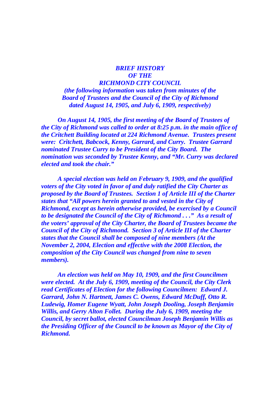#### *BRIEF HISTORY OF THE RICHMOND CITY COUNCIL (the following information was taken from minutes of the Board of Trustees and the Council of the City of Richmond dated August 14, 1905, and July 6, 1909, respectively)*

*On August 14, 1905, the first meeting of the Board of Trustees of the City of Richmond was called to order at 8:25 p.m. in the main office of the Critchett Building located at 224 Richmond Avenue. Trustees present were: Critchett, Babcock, Kenny, Garrard, and Curry. Trustee Garrard nominated Trustee Curry to be President of the City Board. The nomination was seconded by Trustee Kenny, and "Mr. Curry was declared elected and took the chair."*

*A special election was held on February 9, 1909, and the qualified voters of the City voted in favor of and duly ratified the City Charter as proposed by the Board of Trustees. Section 1 of Article III of the Charter states that "All powers herein granted to and vested in the City of Richmond, except as herein otherwise provided, be exercised by a Council to be designated the Council of the City of Richmond . . ." As a result of the voters' approval of the City Charter, the Board of Trustees became the Council of the City of Richmond. Section 3 of Article III of the Charter states that the Council shall be composed of nine members (At the November 2, 2004, Election and effective with the 2008 Election, the composition of the City Council was changed from nine to seven members).*

*An election was held on May 10, 1909, and the first Councilmen were elected. At the July 6, 1909, meeting of the Council, the City Clerk read Certificates of Election for the following Councilmen: Edward J. Garrard, John N. Hartnett, James C. Owens, Edward McDuff, Otto R. Ludewig, Homer Eugene Wyatt, John Joseph Dooling, Joseph Benjamin Willis, and Gerry Alton Follet. During the July 6, 1909, meeting the Council, by secret ballot, elected Councilman Joseph Benjamin Willis as the Presiding Officer of the Council to be known as Mayor of the City of Richmond.*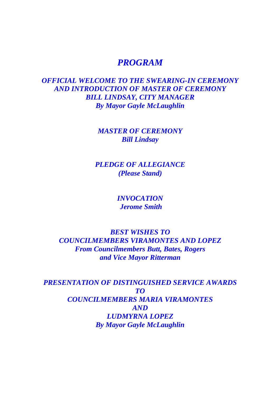# *PROGRAM*

## *OFFICIAL WELCOME TO THE SWEARING-IN CEREMONY AND INTRODUCTION OF MASTER OF CEREMONY BILL LINDSAY, CITY MANAGER By Mayor Gayle McLaughlin*

*MASTER OF CEREMONY Bill Lindsay*

*PLEDGE OF ALLEGIANCE (Please Stand)*

> *INVOCATION Jerome Smith*

*BEST WISHES TO COUNCILMEMBERS VIRAMONTES AND LOPEZ From Councilmembers Butt, Bates, Rogers and Vice Mayor Ritterman*

*PRESENTATION OF DISTINGUISHED SERVICE AWARDS TO COUNCILMEMBERS MARIA VIRAMONTES AND LUDMYRNA LOPEZ By Mayor Gayle McLaughlin*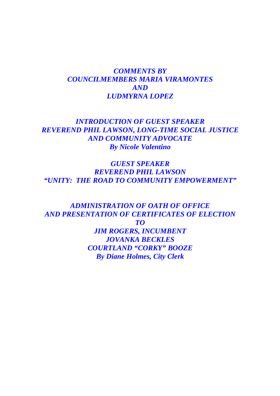### *COMMENTS BY COUNCILMEMBERS MARIA VIRAMONTES AND LUDMYRNA LOPEZ*

### *INTRODUCTION OF GUEST SPEAKER REVEREND PHIL LAWSON, LONG-TIME SOCIAL JUSTICE AND COMMUNITY ADVOCATE By Nicole Valentino*

*GUEST SPEAKER REVEREND PHIL LAWSON "UNITY: THE ROAD TO COMMUNITY EMPOWERMENT"*

*ADMINISTRATION OF OATH OF OFFICE AND PRESENTATION OF CERTIFICATES OF ELECTION TO JIM ROGERS, INCUMBENT JOVANKA BECKLES COURTLAND "CORKY" BOOZE By Diane Holmes, City Clerk*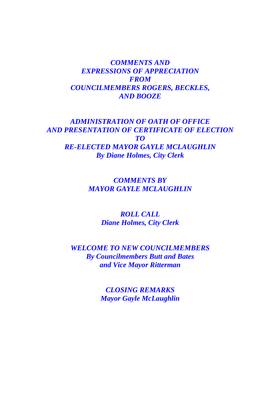*COMMENTS AND EXPRESSIONS OF APPRECIATION FROM COUNCILMEMBERS ROGERS, BECKLES, AND BOOZE*

*ADMINISTRATION OF OATH OF OFFICE AND PRESENTATION OF CERTIFICATE OF ELECTION TO RE-ELECTED MAYOR GAYLE MCLAUGHLIN By Diane Holmes, City Clerk*

> *COMMENTS BY MAYOR GAYLE MCLAUGHLIN*

> > *ROLL CALL Diane Holmes, City Clerk*

*WELCOME TO NEW COUNCILMEMBERS By Councilmembers Butt and Bates and Vice Mayor Ritterman*

> *CLOSING REMARKS Mayor Gayle McLaughlin*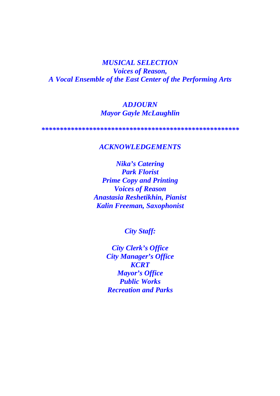*MUSICAL SELECTION Voices of Reason, A Vocal Ensemble of the East Center of the Performing Arts*

#### *ADJOURN Mayor Gayle McLaughlin*

*\*\*\*\*\*\*\*\*\*\*\*\*\*\*\*\*\*\*\*\*\*\*\*\*\*\*\*\*\*\*\*\*\*\*\*\*\*\*\*\*\*\*\*\*\*\*\*\*\*\*\*\*\*\**

#### *ACKNOWLEDGEMENTS*

*Nika's Catering Park Florist Prime Copy and Printing Voices of Reason Anastasia Reshetikhin, Pianist Kalin Freeman, Saxophonist*

*City Staff:*

*City Clerk's Office City Manager's Office KCRT Mayor's Office Public Works Recreation and Parks*